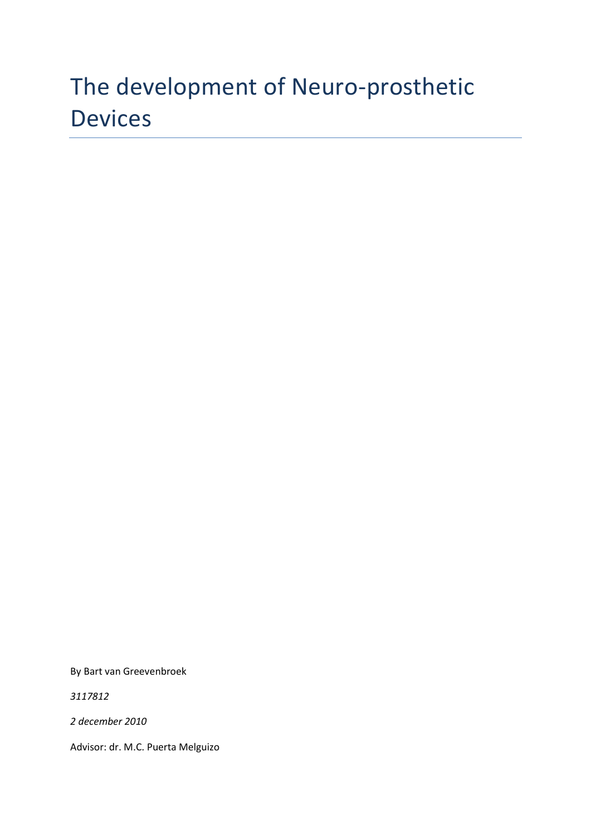# The development of Neuro-prosthetic Devices

By Bart van Greevenbroek

*3117812*

*2 december 2010*

Advisor: dr. M.C. Puerta Melguizo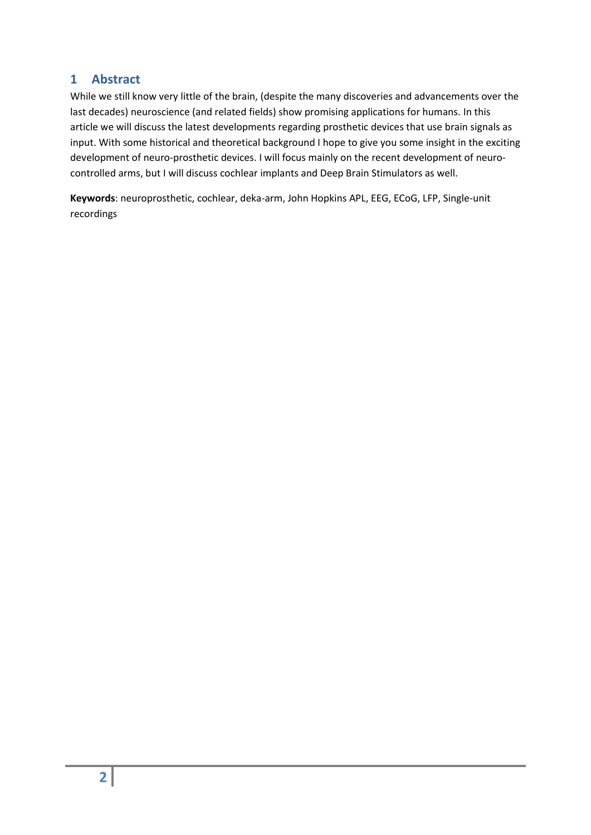## <span id="page-1-0"></span>**1 Abstract**

While we still know very little of the brain, (despite the many discoveries and advancements over the last decades) neuroscience (and related fields) show promising applications for humans. In this article we will discuss the latest developments regarding prosthetic devices that use brain signals as input. With some historical and theoretical background I hope to give you some insight in the exciting development of neuro-prosthetic devices. I will focus mainly on the recent development of neurocontrolled arms, but I will discuss cochlear implants and Deep Brain Stimulators as well.

**Keywords**: neuroprosthetic, cochlear, deka-arm, John Hopkins APL, EEG, ECoG, LFP, Single-unit recordings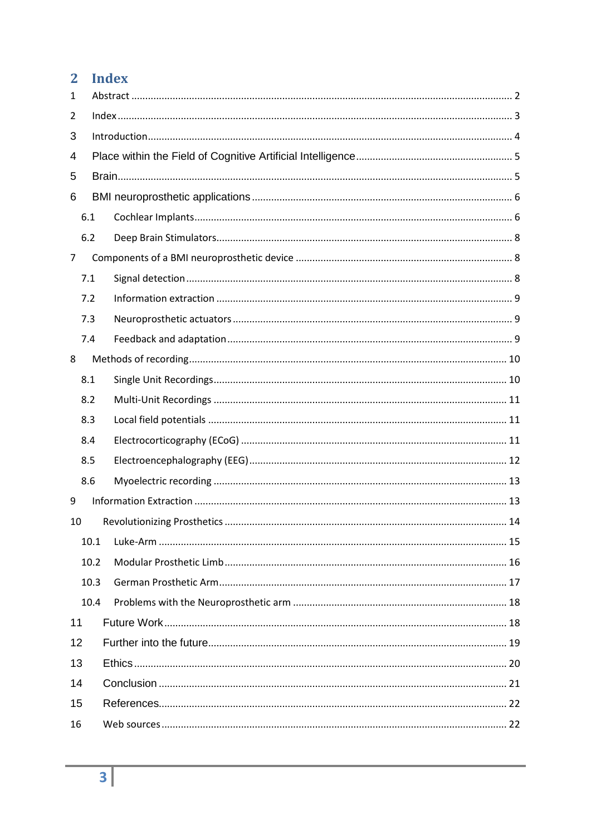## <span id="page-2-0"></span>2 Index

| 1   |      |  |  |  |  |
|-----|------|--|--|--|--|
| 2   |      |  |  |  |  |
| 3   |      |  |  |  |  |
| 4   |      |  |  |  |  |
| 5   |      |  |  |  |  |
| 6   |      |  |  |  |  |
| 6.1 |      |  |  |  |  |
| 6.2 |      |  |  |  |  |
| 7   |      |  |  |  |  |
| 7.1 |      |  |  |  |  |
| 7.2 |      |  |  |  |  |
| 7.3 |      |  |  |  |  |
| 7.4 |      |  |  |  |  |
| 8   |      |  |  |  |  |
| 8.1 |      |  |  |  |  |
| 8.2 |      |  |  |  |  |
| 8.3 |      |  |  |  |  |
| 8.4 |      |  |  |  |  |
| 8.5 |      |  |  |  |  |
| 8.6 |      |  |  |  |  |
| 9   |      |  |  |  |  |
| 10  |      |  |  |  |  |
|     | 10.1 |  |  |  |  |
|     | 10.2 |  |  |  |  |
|     | 10.3 |  |  |  |  |
|     | 10.4 |  |  |  |  |
| 11  |      |  |  |  |  |
| 12  |      |  |  |  |  |
| 13  |      |  |  |  |  |
| 14  |      |  |  |  |  |
| 15  |      |  |  |  |  |
| 16  |      |  |  |  |  |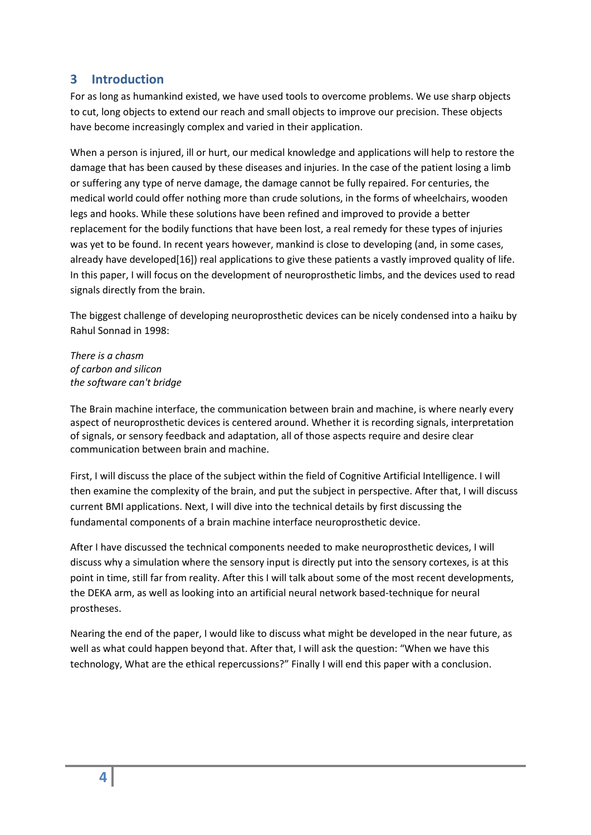## <span id="page-3-0"></span>**3 Introduction**

For as long as humankind existed, we have used tools to overcome problems. We use sharp objects to cut, long objects to extend our reach and small objects to improve our precision. These objects have become increasingly complex and varied in their application.

When a person is injured, ill or hurt, our medical knowledge and applications will help to restore the damage that has been caused by these diseases and injuries. In the case of the patient losing a limb or suffering any type of nerve damage, the damage cannot be fully repaired. For centuries, the medical world could offer nothing more than crude solutions, in the forms of wheelchairs, wooden legs and hooks. While these solutions have been refined and improved to provide a better replacement for the bodily functions that have been lost, a real remedy for these types of injuries was yet to be found. In recent years however, mankind is close to developing (and, in some cases, already have developed[\[16\]](#page-21-1)) real applications to give these patients a vastly improved quality of life. In this paper, I will focus on the development of neuroprosthetic limbs, and the devices used to read signals directly from the brain.

The biggest challenge of developing neuroprosthetic devices can be nicely condensed into a haiku by Rahul Sonnad in 1998:

*There is a chasm of carbon and silicon the software can't bridge*

The Brain machine interface, the communication between brain and machine, is where nearly every aspect of neuroprosthetic devices is centered around. Whether it is recording signals, interpretation of signals, or sensory feedback and adaptation, all of those aspects require and desire clear communication between brain and machine.

First, I will discuss the place of the subject within the field of Cognitive Artificial Intelligence. I will then examine the complexity of the brain, and put the subject in perspective. After that, I will discuss current BMI applications. Next, I will dive into the technical details by first discussing the fundamental components of a brain machine interface neuroprosthetic device.

After I have discussed the technical components needed to make neuroprosthetic devices, I will discuss why a simulation where the sensory input is directly put into the sensory cortexes, is at this point in time, still far from reality. After this I will talk about some of the most recent developments, the DEKA arm, as well as looking into an artificial neural network based-technique for neural prostheses.

Nearing the end of the paper, I would like to discuss what might be developed in the near future, as well as what could happen beyond that. After that, I will ask the question: "When we have this technology, What are the ethical repercussions?" Finally I will end this paper with a conclusion.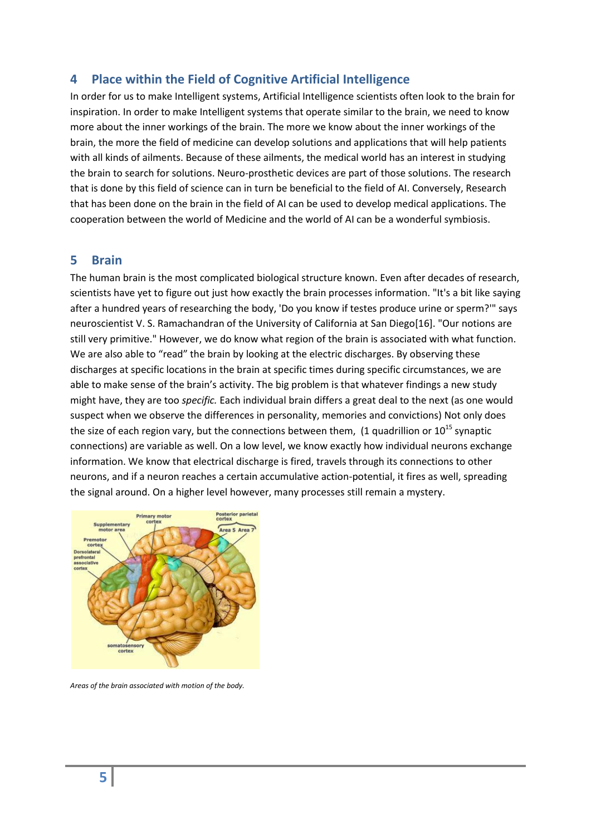## <span id="page-4-0"></span>**4 Place within the Field of Cognitive Artificial Intelligence**

In order for us to make Intelligent systems, Artificial Intelligence scientists often look to the brain for inspiration. In order to make Intelligent systems that operate similar to the brain, we need to know more about the inner workings of the brain. The more we know about the inner workings of the brain, the more the field of medicine can develop solutions and applications that will help patients with all kinds of ailments. Because of these ailments, the medical world has an interest in studying the brain to search for solutions. Neuro-prosthetic devices are part of those solutions. The research that is done by this field of science can in turn be beneficial to the field of AI. Conversely, Research that has been done on the brain in the field of AI can be used to develop medical applications. The cooperation between the world of Medicine and the world of AI can be a wonderful symbiosis.

#### <span id="page-4-1"></span>**5 Brain**

The human brain is the most complicated biological structure known. Even after decades of research, scientists have yet to figure out just how exactly the brain processes information. "It's a bit like saying after a hundred years of researching the body, 'Do you know if testes produce urine or sperm?'" says neuroscientist V. S. Ramachandran of the University of California at San Diego[\[16\]](#page-21-1). "Our notions are still very primitive." However, we do know what region of the brain is associated with what function. We are also able to "read" the brain by looking at the electric discharges. By observing these discharges at specific locations in the brain at specific times during specific circumstances, we are able to make sense of the brain's activity. The big problem is that whatever findings a new study might have, they are too *specific.* Each individual brain differs a great deal to the next (as one would suspect when we observe the differences in personality, memories and convictions) Not only does the size of each region vary, but the connections between them, (1 quadrillion or  $10^{15}$  synaptic connections) are variable as well. On a low level, we know exactly how individual neurons exchange information. We know that electrical discharge is fired, travels through its connections to other neurons, and if a neuron reaches a certain accumulative action-potential, it fires as well, spreading the signal around. On a higher level however, many processes still remain a mystery.



<span id="page-4-2"></span>*Areas of the brain associated with motion of the body.*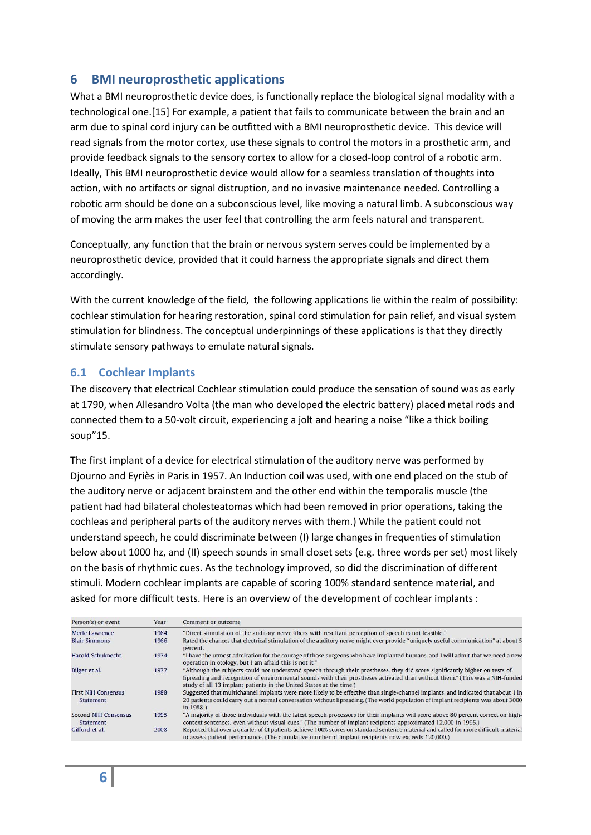## **6 BMI neuroprosthetic applications**

What a BMI neuroprosthetic device does, is functionally replace the biological signal modality with a technological one.[\[15\]](#page-21-0) For example, a patient that fails to communicate between the brain and an arm due to spinal cord injury can be outfitted with a BMI neuroprosthetic device. This device will read signals from the motor cortex, use these signals to control the motors in a prosthetic arm, and provide feedback signals to the sensory cortex to allow for a closed-loop control of a robotic arm. Ideally, This BMI neuroprosthetic device would allow for a seamless translation of thoughts into action, with no artifacts or signal distruption, and no invasive maintenance needed. Controlling a robotic arm should be done on a subconscious level, like moving a natural limb. A subconscious way of moving the arm makes the user feel that controlling the arm feels natural and transparent.

Conceptually, any function that the brain or nervous system serves could be implemented by a neuroprosthetic device, provided that it could harness the appropriate signals and direct them accordingly.

With the current knowledge of the field, the following applications lie within the realm of possibility: cochlear stimulation for hearing restoration, spinal cord stimulation for pain relief, and visual system stimulation for blindness. The conceptual underpinnings of these applications is that they directly stimulate sensory pathways to emulate natural signals.

#### <span id="page-5-0"></span>**6.1 Cochlear Implants**

The discovery that electrical Cochlear stimulation could produce the sensation of sound was as early at 1790, when Allesandro Volta (the man who developed the electric battery) placed metal rods and connected them to a 50-volt circuit, experiencing a jolt and hearing a noise "like a thick boiling soup"[15.](#page-21-0)

The first implant of a device for electrical stimulation of the auditory nerve was performed by Djourno and Eyriès in Paris in 1957. An Induction coil was used, with one end placed on the stub of the auditory nerve or adjacent brainstem and the other end within the temporalis muscle (the patient had had bilateral cholesteatomas which had been removed in prior operations, taking the cochleas and peripheral parts of the auditory nerves with them.) While the patient could not understand speech, he could discriminate between (I) large changes in frequenties of stimulation below about 1000 hz, and (II) speech sounds in small closet sets (e.g. three words per set) most likely on the basis of rhythmic cues. As the technology improved, so did the discrimination of different stimuli. Modern cochlear implants are capable of scoring 100% standard sentence material, and asked for more difficult tests. Here is an overview of the development of cochlear implants :

| Person(s) or event                       | Year | Comment or outcome                                                                                                                                                                                                                                                                                                                   |
|------------------------------------------|------|--------------------------------------------------------------------------------------------------------------------------------------------------------------------------------------------------------------------------------------------------------------------------------------------------------------------------------------|
| Merle Lawrence                           | 1964 | "Direct stimulation of the auditory nerve fibers with resultant perception of speech is not feasible."                                                                                                                                                                                                                               |
| <b>Blair Simmons</b>                     | 1966 | Rated the chances that electrical stimulation of the auditory nerve might ever provide "uniquely useful communication" at about 5<br>percent.                                                                                                                                                                                        |
| Harold Schuknecht                        | 1974 | "I have the utmost admiration for the courage of those surgeons who have implanted humans, and I will admit that we need a new<br>operation in otology, but I am afraid this is not it."                                                                                                                                             |
| Bilger et al.                            | 1977 | "Although the subjects could not understand speech through their prostheses, they did score significantly higher on tests of<br>lipreading and recognition of environmental sounds with their prostheses activated than without them." (This was a NIH-funded<br>study of all 13 implant patients in the United States at the time.) |
| <b>First NIH Consensus</b><br>Statement  | 1988 | Suggested that multichannel implants were more likely to be effective than single-channel implants, and indicated that about 1 in<br>20 patients could carry out a normal conversation without lipreading. (The world population of implant recipients was about 3000<br>in 1988.)                                                   |
| Second NIH Consensus<br><b>Statement</b> | 1995 | "A majority of those individuals with the latest speech processors for their implants will score above 80 percent correct on high-<br>context sentences, even without visual cues." (The number of implant recipients approximated 12,000 in 1995.)                                                                                  |
| Gifford et al.                           | 2008 | Reported that over a quarter of CI patients achieve 100% scores on standard sentence material and called for more difficult material<br>to assess patient performance. (The cumulative number of implant recipients now exceeds 120,000.)                                                                                            |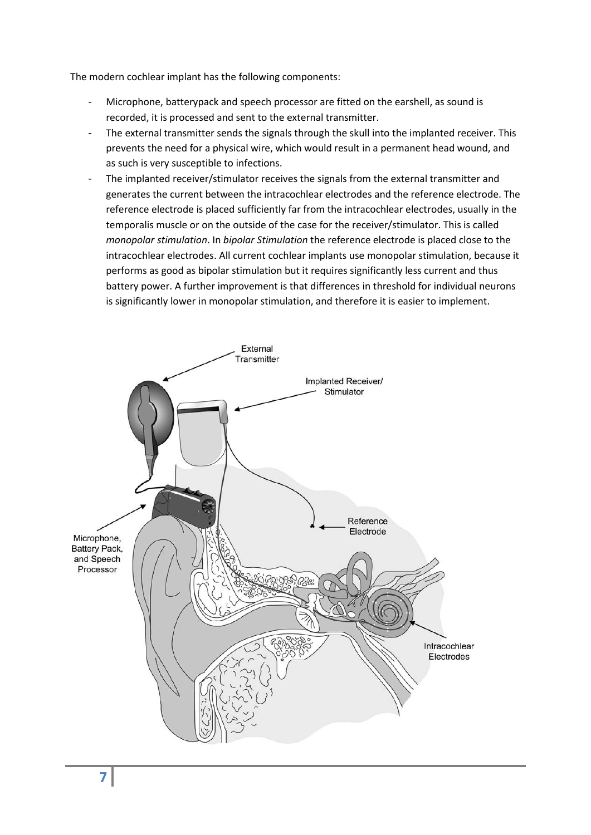The modern cochlear implant has the following components:

- Microphone, batterypack and speech processor are fitted on the earshell, as sound is recorded, it is processed and sent to the external transmitter.
- The external transmitter sends the signals through the skull into the implanted receiver. This prevents the need for a physical wire, which would result in a permanent head wound, and as such is very susceptible to infections.
- The implanted receiver/stimulator receives the signals from the external transmitter and generates the current between the intracochlear electrodes and the reference electrode. The reference electrode is placed sufficiently far from the intracochlear electrodes, usually in the temporalis muscle or on the outside of the case for the receiver/stimulator. This is called *monopolar stimulation*. In *bipolar Stimulation* the reference electrode is placed close to the intracochlear electrodes. All current cochlear implants use monopolar stimulation, because it performs as good as bipolar stimulation but it requires significantly less current and thus battery power. A further improvement is that differences in threshold for individual neurons is significantly lower in monopolar stimulation, and therefore it is easier to implement.

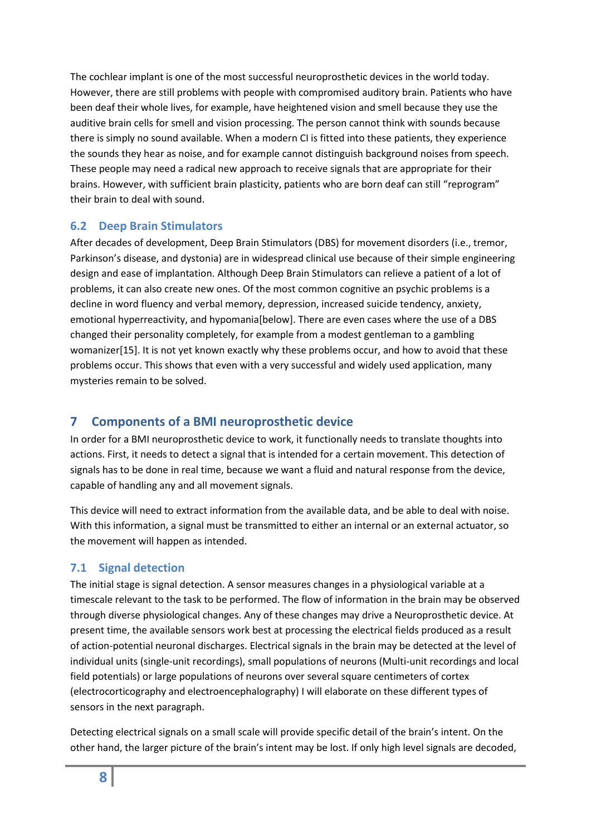The cochlear implant is one of the most successful neuroprosthetic devices in the world today. However, there are still problems with people with compromised auditory brain. Patients who have been deaf their whole lives, for example, have heightened vision and smell because they use the auditive brain cells for smell and vision processing. The person cannot think with sounds because there is simply no sound available. When a modern CI is fitted into these patients, they experience the sounds they hear as noise, and for example cannot distinguish background noises from speech. These people may need a radical new approach to receive signals that are appropriate for their brains. However, with sufficient brain plasticity, patients who are born deaf can still "reprogram" their brain to deal with sound.

#### <span id="page-7-0"></span>**6.2 Deep Brain Stimulators**

After decades of development, Deep Brain Stimulators (DBS) for movement disorders (i.e., tremor, Parkinson's disease, and dystonia) are in widespread clinical use because of their simple engineering design and ease of implantation. Although Deep Brain Stimulators can relieve a patient of a lot of problems, it can also create new ones. Of the most common cognitive an psychic problems is a decline in word fluency and verbal memory, depression, increased suicide tendency, anxiety, emotional hyperreactivity, and hypomania[\[below\]](#page-21-0). There are even cases where the use of a DBS changed their personality completely, for example from a modest gentleman to a gambling womanizer[\[15\]](#page-21-0). It is not yet known exactly why these problems occur, and how to avoid that these problems occur. This shows that even with a very successful and widely used application, many mysteries remain to be solved.

## <span id="page-7-1"></span>**7 Components of a BMI neuroprosthetic device**

In order for a BMI neuroprosthetic device to work, it functionally needs to translate thoughts into actions. First, it needs to detect a signal that is intended for a certain movement. This detection of signals has to be done in real time, because we want a fluid and natural response from the device, capable of handling any and all movement signals.

This device will need to extract information from the available data, and be able to deal with noise. With this information, a signal must be transmitted to either an internal or an external actuator, so the movement will happen as intended.

#### <span id="page-7-2"></span>**7.1 Signal detection**

The initial stage is signal detection. A sensor measures changes in a physiological variable at a timescale relevant to the task to be performed. The flow of information in the brain may be observed through diverse physiological changes. Any of these changes may drive a Neuroprosthetic device. At present time, the available sensors work best at processing the electrical fields produced as a result of action-potential neuronal discharges. Electrical signals in the brain may be detected at the level of individual units (single-unit recordings), small populations of neurons (Multi-unit recordings and local field potentials) or large populations of neurons over several square centimeters of cortex (electrocorticography and electroencephalography) I will elaborate on these different types of sensors in the next paragraph.

Detecting electrical signals on a small scale will provide specific detail of the brain's intent. On the other hand, the larger picture of the brain's intent may be lost. If only high level signals are decoded,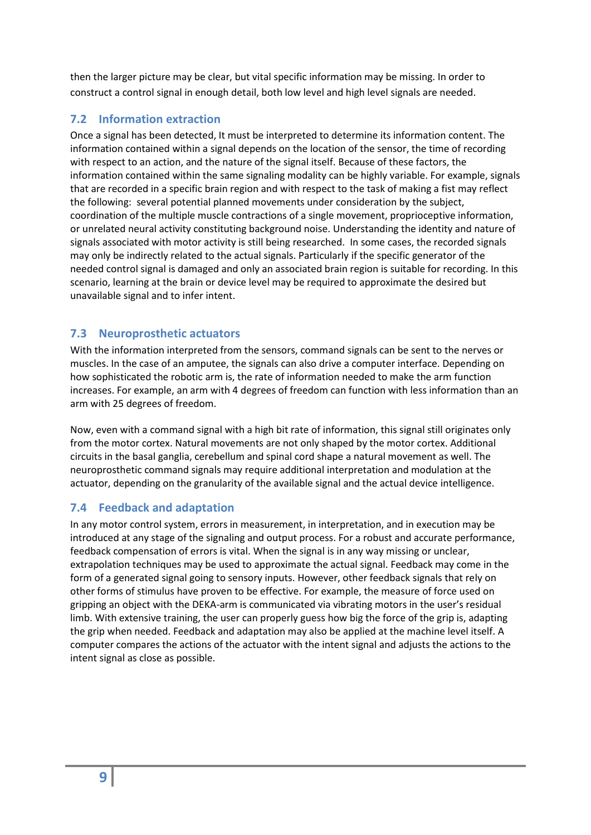then the larger picture may be clear, but vital specific information may be missing. In order to construct a control signal in enough detail, both low level and high level signals are needed.

## <span id="page-8-0"></span>**7.2 Information extraction**

Once a signal has been detected, It must be interpreted to determine its information content. The information contained within a signal depends on the location of the sensor, the time of recording with respect to an action, and the nature of the signal itself. Because of these factors, the information contained within the same signaling modality can be highly variable. For example, signals that are recorded in a specific brain region and with respect to the task of making a fist may reflect the following: several potential planned movements under consideration by the subject, coordination of the multiple muscle contractions of a single movement, proprioceptive information, or unrelated neural activity constituting background noise. Understanding the identity and nature of signals associated with motor activity is still being researched. In some cases, the recorded signals may only be indirectly related to the actual signals. Particularly if the specific generator of the needed control signal is damaged and only an associated brain region is suitable for recording. In this scenario, learning at the brain or device level may be required to approximate the desired but unavailable signal and to infer intent.

## <span id="page-8-1"></span>**7.3 Neuroprosthetic actuators**

With the information interpreted from the sensors, command signals can be sent to the nerves or muscles. In the case of an amputee, the signals can also drive a computer interface. Depending on how sophisticated the robotic arm is, the rate of information needed to make the arm function increases. For example, an arm with 4 degrees of freedom can function with less information than an arm with 25 degrees of freedom.

Now, even with a command signal with a high bit rate of information, this signal still originates only from the motor cortex. Natural movements are not only shaped by the motor cortex. Additional circuits in the basal ganglia, cerebellum and spinal cord shape a natural movement as well. The neuroprosthetic command signals may require additional interpretation and modulation at the actuator, depending on the granularity of the available signal and the actual device intelligence.

## <span id="page-8-2"></span>**7.4 Feedback and adaptation**

In any motor control system, errors in measurement, in interpretation, and in execution may be introduced at any stage of the signaling and output process. For a robust and accurate performance, feedback compensation of errors is vital. When the signal is in any way missing or unclear, extrapolation techniques may be used to approximate the actual signal. Feedback may come in the form of a generated signal going to sensory inputs. However, other feedback signals that rely on other forms of stimulus have proven to be effective. For example, the measure of force used on gripping an object with the DEKA-arm is communicated via vibrating motors in the user's residual limb. With extensive training, the user can properly guess how big the force of the grip is, adapting the grip when needed. Feedback and adaptation may also be applied at the machine level itself. A computer compares the actions of the actuator with the intent signal and adjusts the actions to the intent signal as close as possible.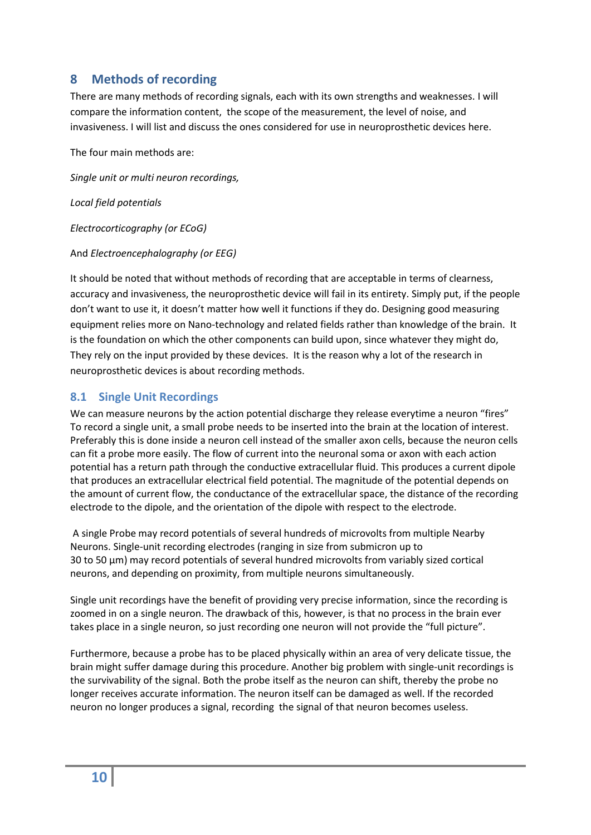## <span id="page-9-0"></span>**8 Methods of recording**

There are many methods of recording signals, each with its own strengths and weaknesses. I will compare the information content, the scope of the measurement, the level of noise, and invasiveness. I will list and discuss the ones considered for use in neuroprosthetic devices here.

The four main methods are:

*Single unit or multi neuron recordings,*

*Local field potentials*

*Electrocorticography (or ECoG)*

#### And *Electroencephalography (or EEG)*

It should be noted that without methods of recording that are acceptable in terms of clearness, accuracy and invasiveness, the neuroprosthetic device will fail in its entirety. Simply put, if the people don't want to use it, it doesn't matter how well it functions if they do. Designing good measuring equipment relies more on Nano-technology and related fields rather than knowledge of the brain. It is the foundation on which the other components can build upon, since whatever they might do, They rely on the input provided by these devices. It is the reason why a lot of the research in neuroprosthetic devices is about recording methods.

#### <span id="page-9-1"></span>**8.1 Single Unit Recordings**

We can measure neurons by the action potential discharge they release everytime a neuron "fires" To record a single unit, a small probe needs to be inserted into the brain at the location of interest. Preferably this is done inside a neuron cell instead of the smaller axon cells, because the neuron cells can fit a probe more easily. The flow of current into the neuronal soma or axon with each action potential has a return path through the conductive extracellular fluid. This produces a current dipole that produces an extracellular electrical field potential. The magnitude of the potential depends on the amount of current flow, the conductance of the extracellular space, the distance of the recording electrode to the dipole, and the orientation of the dipole with respect to the electrode.

A single Probe may record potentials of several hundreds of microvolts from multiple Nearby Neurons. Single-unit recording electrodes (ranging in size from submicron up to 30 to 50 μm) may record potentials of several hundred microvolts from variably sized cortical neurons, and depending on proximity, from multiple neurons simultaneously.

Single unit recordings have the benefit of providing very precise information, since the recording is zoomed in on a single neuron. The drawback of this, however, is that no process in the brain ever takes place in a single neuron, so just recording one neuron will not provide the "full picture".

<span id="page-9-2"></span>Furthermore, because a probe has to be placed physically within an area of very delicate tissue, the brain might suffer damage during this procedure. Another big problem with single-unit recordings is the survivability of the signal. Both the probe itself as the neuron can shift, thereby the probe no longer receives accurate information. The neuron itself can be damaged as well. If the recorded neuron no longer produces a signal, recording the signal of that neuron becomes useless.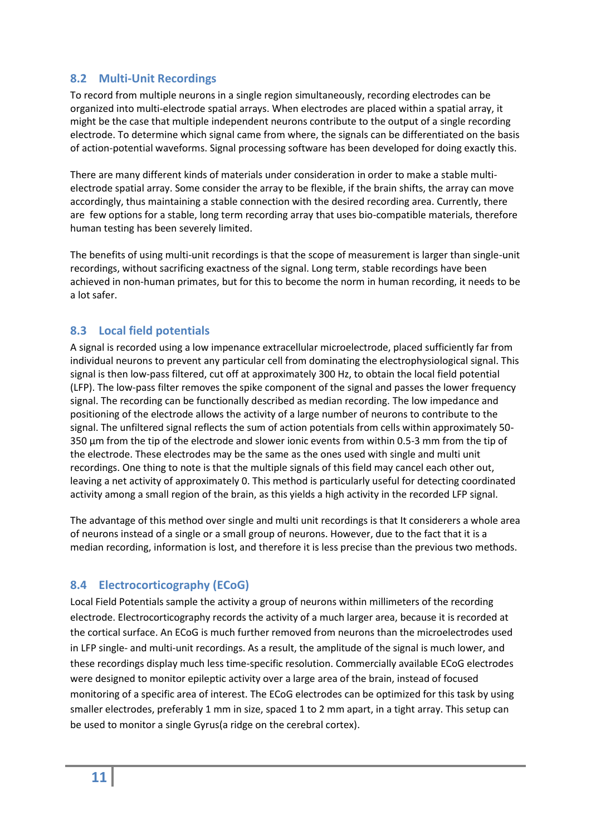#### <span id="page-10-0"></span>**8.2 Multi-Unit Recordings**

To record from multiple neurons in a single region simultaneously, recording electrodes can be organized into multi-electrode spatial arrays. When electrodes are placed within a spatial array, it might be the case that multiple independent neurons contribute to the output of a single recording electrode. To determine which signal came from where, the signals can be differentiated on the basis of action-potential waveforms. Signal processing software has been developed for doing exactly this.

There are many different kinds of materials under consideration in order to make a stable multielectrode spatial array. Some consider the array to be flexible, if the brain shifts, the array can move accordingly, thus maintaining a stable connection with the desired recording area. Currently, there are few options for a stable, long term recording array that uses bio-compatible materials, therefore human testing has been severely limited.

The benefits of using multi-unit recordings is that the scope of measurement is larger than single-unit recordings, without sacrificing exactness of the signal. Long term, stable recordings have been achieved in non-human primates, but for this to become the norm in human recording, it needs to be a lot safer.

#### <span id="page-10-1"></span>**8.3 Local field potentials**

A signal is recorded using a low impenance extracellular microelectrode, placed sufficiently far from individual neurons to prevent any particular cell from dominating the electrophysiological signal. This signal is then low-pass filtered, cut off at approximately 300 Hz, to obtain the local field potential (LFP). The low-pass filter removes the spike component of the signal and passes the lower frequency signal. The recording can be functionally described as median recording. The low impedance and positioning of the electrode allows the activity of a large number of neurons to contribute to the signal. The unfiltered signal reflects the sum of action potentials from cells within approximately 50- 350 μm from the tip of the electrode and slower ionic events from within 0.5-3 mm from the tip of the electrode. These electrodes may be the same as the ones used with single and multi unit recordings. One thing to note is that the multiple signals of this field may cancel each other out, leaving a net activity of approximately 0. This method is particularly useful for detecting coordinated activity among a small region of the brain, as this yields a high activity in the recorded LFP signal.

The advantage of this method over single and multi unit recordings is that It considerers a whole area of neurons instead of a single or a small group of neurons. However, due to the fact that it is a median recording, information is lost, and therefore it is less precise than the previous two methods.

#### <span id="page-10-2"></span>**8.4 Electrocorticography (ECoG)**

Local Field Potentials sample the activity a group of neurons within millimeters of the recording electrode. Electrocorticography records the activity of a much larger area, because it is recorded at the cortical surface. An ECoG is much further removed from neurons than the microelectrodes used in LFP single- and multi-unit recordings. As a result, the amplitude of the signal is much lower, and these recordings display much less time-specific resolution. Commercially available ECoG electrodes were designed to monitor epileptic activity over a large area of the brain, instead of focused monitoring of a specific area of interest. The ECoG electrodes can be optimized for this task by using smaller electrodes, preferably 1 mm in size, spaced 1 to 2 mm apart, in a tight array. This setup can be used to monitor a single Gyrus(a ridge on the cerebral cortex).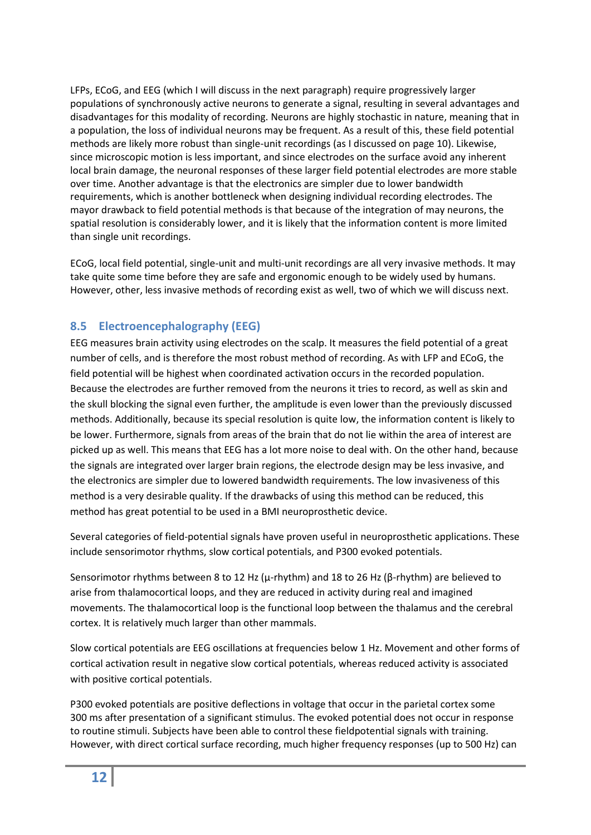LFPs, ECoG, and EEG (which I will discuss in the next paragraph) require progressively larger populations of synchronously active neurons to generate a signal, resulting in several advantages and disadvantages for this modality of recording. Neurons are highly stochastic in nature, meaning that in a population, the loss of individual neurons may be frequent. As a result of this, these field potential methods are likely more robust than single-unit recordings (as I discussed on page [10\)](#page-9-2). Likewise, since microscopic motion is less important, and since electrodes on the surface avoid any inherent local brain damage, the neuronal responses of these larger field potential electrodes are more stable over time. Another advantage is that the electronics are simpler due to lower bandwidth requirements, which is another bottleneck when designing individual recording electrodes. The mayor drawback to field potential methods is that because of the integration of may neurons, the spatial resolution is considerably lower, and it is likely that the information content is more limited than single unit recordings.

ECoG, local field potential, single-unit and multi-unit recordings are all very invasive methods. It may take quite some time before they are safe and ergonomic enough to be widely used by humans. However, other, less invasive methods of recording exist as well, two of which we will discuss next.

## <span id="page-11-0"></span>**8.5 Electroencephalography (EEG)**

EEG measures brain activity using electrodes on the scalp. It measures the field potential of a great number of cells, and is therefore the most robust method of recording. As with LFP and ECoG, the field potential will be highest when coordinated activation occurs in the recorded population. Because the electrodes are further removed from the neurons it tries to record, as well as skin and the skull blocking the signal even further, the amplitude is even lower than the previously discussed methods. Additionally, because its special resolution is quite low, the information content is likely to be lower. Furthermore, signals from areas of the brain that do not lie within the area of interest are picked up as well. This means that EEG has a lot more noise to deal with. On the other hand, because the signals are integrated over larger brain regions, the electrode design may be less invasive, and the electronics are simpler due to lowered bandwidth requirements. The low invasiveness of this method is a very desirable quality. If the drawbacks of using this method can be reduced, this method has great potential to be used in a BMI neuroprosthetic device.

Several categories of field-potential signals have proven useful in neuroprosthetic applications. These include sensorimotor rhythms, slow cortical potentials, and P300 evoked potentials.

Sensorimotor rhythms between 8 to 12 Hz (μ-rhythm) and 18 to 26 Hz (β-rhythm) are believed to arise from thalamocortical loops, and they are reduced in activity during real and imagined movements. The thalamocortical loop is the functional loop between the thalamus and the cerebral cortex. It is relatively much larger than other mammals.

Slow cortical potentials are EEG oscillations at frequencies below 1 Hz. Movement and other forms of cortical activation result in negative slow cortical potentials, whereas reduced activity is associated with positive cortical potentials.

P300 evoked potentials are positive deflections in voltage that occur in the parietal cortex some 300 ms after presentation of a significant stimulus. The evoked potential does not occur in response to routine stimuli. Subjects have been able to control these fieldpotential signals with training. However, with direct cortical surface recording, much higher frequency responses (up to 500 Hz) can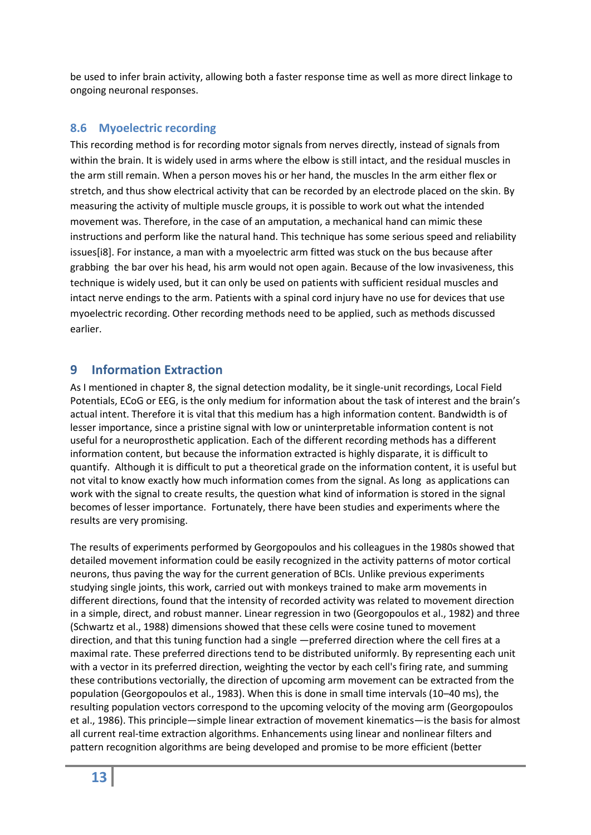be used to infer brain activity, allowing both a faster response time as well as more direct linkage to ongoing neuronal responses.

#### <span id="page-12-0"></span>**8.6 Myoelectric recording**

This recording method is for recording motor signals from nerves directly, instead of signals from within the brain. It is widely used in arms where the elbow is still intact, and the residual muscles in the arm still remain. When a person moves his or her hand, the muscles In the arm either flex or stretch, and thus show electrical activity that can be recorded by an electrode placed on the skin. By measuring the activity of multiple muscle groups, it is possible to work out what the intended movement was. Therefore, in the case of an amputation, a mechanical hand can mimic these instructions and perform like the natural hand. This technique has some serious speed and reliability issues[i8]. For instance, a man with a myoelectric arm fitted was stuck on the bus because after grabbing the bar over his head, his arm would not open again. Because of the low invasiveness, this technique is widely used, but it can only be used on patients with sufficient residual muscles and intact nerve endings to the arm. Patients with a spinal cord injury have no use for devices that use myoelectric recording. Other recording methods need to be applied, such as methods discussed earlier.

## <span id="page-12-1"></span>**9 Information Extraction**

As I mentioned in chapte[r 8,](#page-9-0) the signal detection modality, be it single-unit recordings, Local Field Potentials, ECoG or EEG, is the only medium for information about the task of interest and the brain's actual intent. Therefore it is vital that this medium has a high information content. Bandwidth is of lesser importance, since a pristine signal with low or uninterpretable information content is not useful for a neuroprosthetic application. Each of the different recording methods has a different information content, but because the information extracted is highly disparate, it is difficult to quantify. Although it is difficult to put a theoretical grade on the information content, it is useful but not vital to know exactly how much information comes from the signal. As long as applications can work with the signal to create results, the question what kind of information is stored in the signal becomes of lesser importance. Fortunately, there have been studies and experiments where the results are very promising.

The results of experiments performed by Georgopoulos and his colleagues in the 1980s showed that detailed movement information could be easily recognized in the activity patterns of motor cortical neurons, thus paving the way for the current generation of BCIs. Unlike previous experiments studying single joints, this work, carried out with monkeys trained to make arm movements in different directions, found that the intensity of recorded activity was related to movement direction in a simple, direct, and robust manner. Linear regression in two (Georgopoulos et al., 1982) and three (Schwartz et al., 1988) dimensions showed that these cells were cosine tuned to movement direction, and that this tuning function had a single ―preferred direction where the cell fires at a maximal rate. These preferred directions tend to be distributed uniformly. By representing each unit with a vector in its preferred direction, weighting the vector by each cell's firing rate, and summing these contributions vectorially, the direction of upcoming arm movement can be extracted from the population (Georgopoulos et al., 1983). When this is done in small time intervals (10–40 ms), the resulting population vectors correspond to the upcoming velocity of the moving arm (Georgopoulos et al., 1986). This principle—simple linear extraction of movement kinematics—is the basis for almost all current real-time extraction algorithms. Enhancements using linear and nonlinear filters and pattern recognition algorithms are being developed and promise to be more efficient (better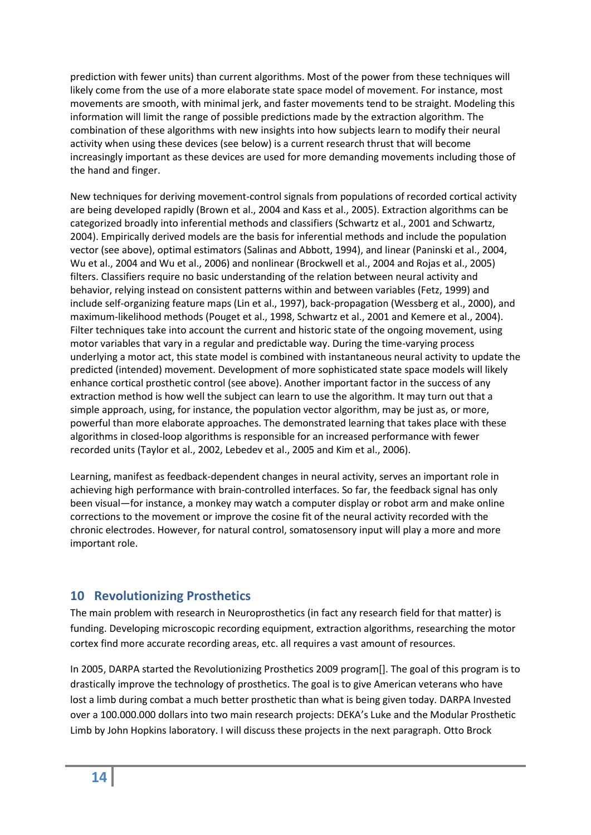prediction with fewer units) than current algorithms. Most of the power from these techniques will likely come from the use of a more elaborate state space model of movement. For instance, most movements are smooth, with minimal jerk, and faster movements tend to be straight. Modeling this information will limit the range of possible predictions made by the extraction algorithm. The combination of these algorithms with new insights into how subjects learn to modify their neural activity when using these devices (see below) is a current research thrust that will become increasingly important as these devices are used for more demanding movements including those of the hand and finger.

New techniques for deriving movement-control signals from populations of recorded cortical activity are being developed rapidly (Brown et al., 2004 and Kass et al., 2005). Extraction algorithms can be categorized broadly into inferential methods and classifiers (Schwartz et al., 2001 and Schwartz, 2004). Empirically derived models are the basis for inferential methods and include the population vector (see above), optimal estimators (Salinas and Abbott, 1994), and linear (Paninski et al., 2004, Wu et al., 2004 and Wu et al., 2006) and nonlinear (Brockwell et al., 2004 and Rojas et al., 2005) filters. Classifiers require no basic understanding of the relation between neural activity and behavior, relying instead on consistent patterns within and between variables (Fetz, 1999) and include self-organizing feature maps (Lin et al., 1997), back-propagation (Wessberg et al., 2000), and maximum-likelihood methods (Pouget et al., 1998, Schwartz et al., 2001 and Kemere et al., 2004). Filter techniques take into account the current and historic state of the ongoing movement, using motor variables that vary in a regular and predictable way. During the time-varying process underlying a motor act, this state model is combined with instantaneous neural activity to update the predicted (intended) movement. Development of more sophisticated state space models will likely enhance cortical prosthetic control (see above). Another important factor in the success of any extraction method is how well the subject can learn to use the algorithm. It may turn out that a simple approach, using, for instance, the population vector algorithm, may be just as, or more, powerful than more elaborate approaches. The demonstrated learning that takes place with these algorithms in closed-loop algorithms is responsible for an increased performance with fewer recorded units (Taylor et al., 2002, Lebedev et al., 2005 and Kim et al., 2006).

Learning, manifest as feedback-dependent changes in neural activity, serves an important role in achieving high performance with brain-controlled interfaces. So far, the feedback signal has only been visual—for instance, a monkey may watch a computer display or robot arm and make online corrections to the movement or improve the cosine fit of the neural activity recorded with the chronic electrodes. However, for natural control, somatosensory input will play a more and more important role.

## <span id="page-13-0"></span>**10 Revolutionizing Prosthetics**

The main problem with research in Neuroprosthetics (in fact any research field for that matter) is funding. Developing microscopic recording equipment, extraction algorithms, researching the motor cortex find more accurate recording areas, etc. all requires a vast amount of resources.

In 2005, DARPA started the Revolutionizing Prosthetics 2009 program[]. The goal of this program is to drastically improve the technology of prosthetics. The goal is to give American veterans who have lost a limb during combat a much better prosthetic than what is being given today. DARPA Invested over a 100.000.000 dollars into two main research projects: DEKA's Luke and the Modular Prosthetic Limb by John Hopkins laboratory. I will discuss these projects in the next paragraph. Otto Brock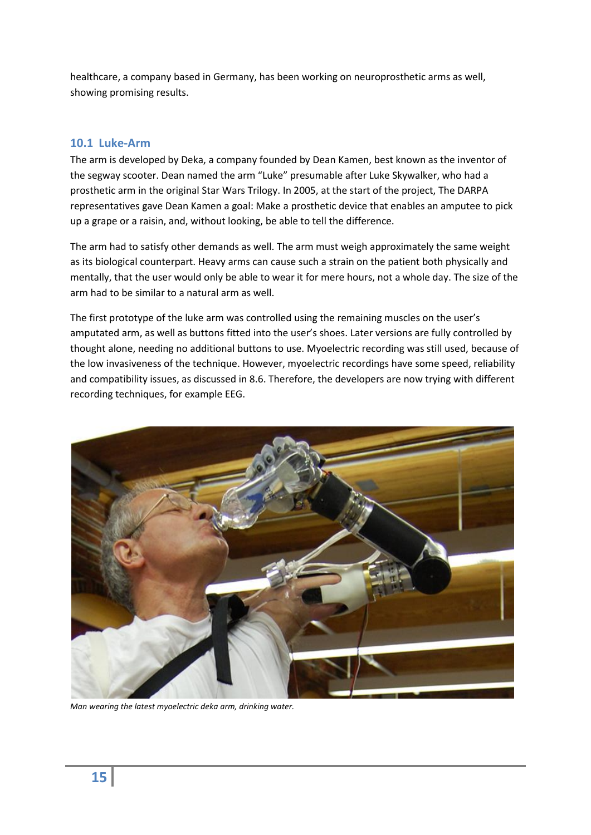healthcare, a company based in Germany, has been working on neuroprosthetic arms as well, showing promising results.

#### <span id="page-14-0"></span>**10.1 Luke-Arm**

The arm is developed by Deka, a company founded by Dean Kamen, best known as the inventor of the segway scooter. Dean named the arm "Luke" presumable after Luke Skywalker, who had a prosthetic arm in the original Star Wars Trilogy. In 2005, at the start of the project, The DARPA representatives gave Dean Kamen a goal: Make a prosthetic device that enables an amputee to pick up a grape or a raisin, and, without looking, be able to tell the difference.

The arm had to satisfy other demands as well. The arm must weigh approximately the same weight as its biological counterpart. Heavy arms can cause such a strain on the patient both physically and mentally, that the user would only be able to wear it for mere hours, not a whole day. The size of the arm had to be similar to a natural arm as well.

The first prototype of the luke arm was controlled using the remaining muscles on the user's amputated arm, as well as buttons fitted into the user's shoes. Later versions are fully controlled by thought alone, needing no additional buttons to use. Myoelectric recording was still used, because of the low invasiveness of the technique. However, myoelectric recordings have some speed, reliability and compatibility issues, as discussed in [8.6.](#page-12-0) Therefore, the developers are now trying with different recording techniques, for example EEG.



*Man wearing the latest myoelectric deka arm, drinking water.*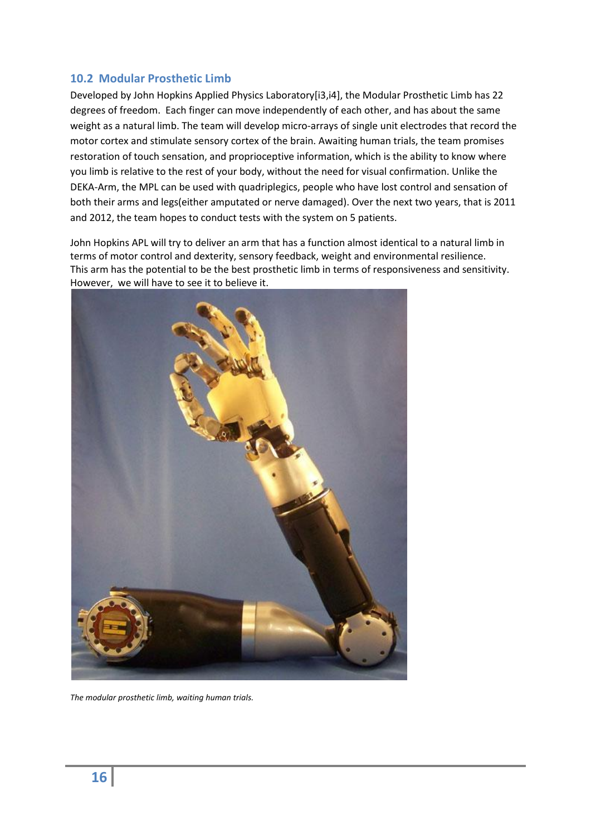#### <span id="page-15-0"></span>**10.2 Modular Prosthetic Limb**

Developed by John Hopkins Applied Physics Laboratory[i3,i4], the Modular Prosthetic Limb has 22 degrees of freedom. Each finger can move independently of each other, and has about the same weight as a natural limb. The team will develop micro-arrays of single unit electrodes that record the motor cortex and stimulate sensory cortex of the brain. Awaiting human trials, the team promises restoration of touch sensation, and proprioceptive information, which is the ability to know where you limb is relative to the rest of your body, without the need for visual confirmation. Unlike the DEKA-Arm, the MPL can be used with quadriplegics, people who have lost control and sensation of both their arms and legs(either amputated or nerve damaged). Over the next two years, that is 2011 and 2012, the team hopes to conduct tests with the system on 5 patients.

John Hopkins APL will try to deliver an arm that has a function almost identical to a natural limb in terms of motor control and dexterity, sensory feedback, weight and environmental resilience. This arm has the potential to be the best prosthetic limb in terms of responsiveness and sensitivity. However, we will have to see it to believe it.



*The modular prosthetic limb, waiting human trials.*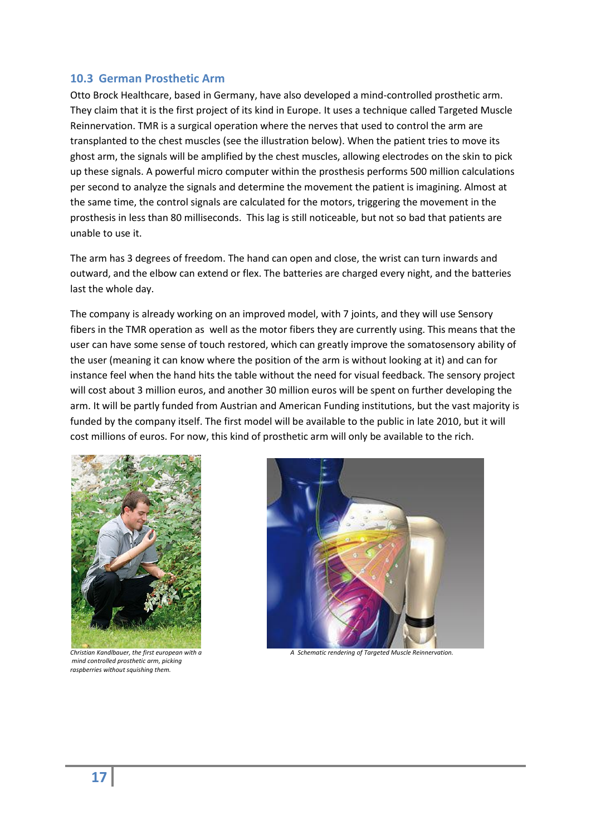#### <span id="page-16-0"></span>**10.3 German Prosthetic Arm**

Otto Brock Healthcare, based in Germany, have also developed a mind-controlled prosthetic arm. They claim that it is the first project of its kind in Europe. It uses a technique called Targeted Muscle Reinnervation. TMR is a surgical operation where the nerves that used to control the arm are transplanted to the chest muscles (see the illustration below). When the patient tries to move its ghost arm, the signals will be amplified by the chest muscles, allowing electrodes on the skin to pick up these signals. A powerful micro computer within the prosthesis performs 500 million calculations per second to analyze the signals and determine the movement the patient is imagining. Almost at the same time, the control signals are calculated for the motors, triggering the movement in the prosthesis in less than 80 milliseconds. This lag is still noticeable, but not so bad that patients are unable to use it.

The arm has 3 degrees of freedom. The hand can open and close, the wrist can turn inwards and outward, and the elbow can extend or flex. The batteries are charged every night, and the batteries last the whole day.

The company is already working on an improved model, with 7 joints, and they will use Sensory fibers in the TMR operation as well as the motor fibers they are currently using. This means that the user can have some sense of touch restored, which can greatly improve the somatosensory ability of the user (meaning it can know where the position of the arm is without looking at it) and can for instance feel when the hand hits the table without the need for visual feedback. The sensory project will cost about 3 million euros, and another 30 million euros will be spent on further developing the arm. It will be partly funded from Austrian and American Funding institutions, but the vast majority is funded by the company itself. The first model will be available to the public in late 2010, but it will cost millions of euros. For now, this kind of prosthetic arm will only be available to the rich.



*mind controlled prosthetic arm, picking raspberries without squishing them.*

 $\overline{\phantom{a}}$ 



*Christian Kandlbauer, the first european with a A Schematic rendering of Targeted Muscle Reinnervation.*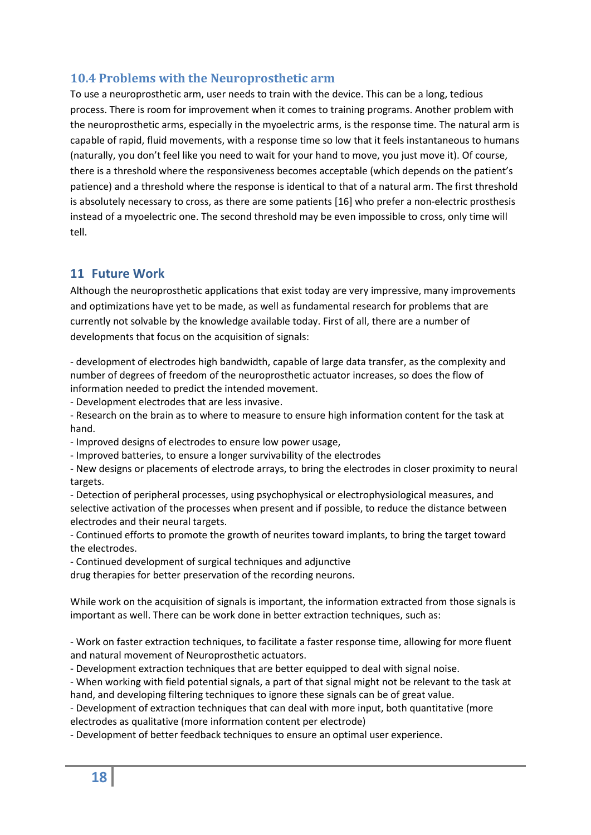## <span id="page-17-0"></span>**10.4 Problems with the Neuroprosthetic arm**

To use a neuroprosthetic arm, user needs to train with the device. This can be a long, tedious process. There is room for improvement when it comes to training programs. Another problem with the neuroprosthetic arms, especially in the myoelectric arms, is the response time. The natural arm is capable of rapid, fluid movements, with a response time so low that it feels instantaneous to humans (naturally, you don't feel like you need to wait for your hand to move, you just move it). Of course, there is a threshold where the responsiveness becomes acceptable (which depends on the patient's patience) and a threshold where the response is identical to that of a natural arm. The first threshold is absolutely necessary to cross, as there are some patients [\[16\]](#page-21-1) who prefer a non-electric prosthesis instead of a myoelectric one. The second threshold may be even impossible to cross, only time will tell.

## <span id="page-17-1"></span>**11 Future Work**

Although the neuroprosthetic applications that exist today are very impressive, many improvements and optimizations have yet to be made, as well as fundamental research for problems that are currently not solvable by the knowledge available today. First of all, there are a number of developments that focus on the acquisition of signals:

- development of electrodes high bandwidth, capable of large data transfer, as the complexity and number of degrees of freedom of the neuroprosthetic actuator increases, so does the flow of information needed to predict the intended movement.

- Development electrodes that are less invasive.

- Research on the brain as to where to measure to ensure high information content for the task at hand.

- Improved designs of electrodes to ensure low power usage,

- Improved batteries, to ensure a longer survivability of the electrodes

- New designs or placements of electrode arrays, to bring the electrodes in closer proximity to neural targets.

- Detection of peripheral processes, using psychophysical or electrophysiological measures, and selective activation of the processes when present and if possible, to reduce the distance between electrodes and their neural targets.

- Continued efforts to promote the growth of neurites toward implants, to bring the target toward the electrodes.

- Continued development of surgical techniques and adjunctive

drug therapies for better preservation of the recording neurons.

While work on the acquisition of signals is important, the information extracted from those signals is important as well. There can be work done in better extraction techniques, such as:

- Work on faster extraction techniques, to facilitate a faster response time, allowing for more fluent and natural movement of Neuroprosthetic actuators.

- Development extraction techniques that are better equipped to deal with signal noise.

- When working with field potential signals, a part of that signal might not be relevant to the task at hand, and developing filtering techniques to ignore these signals can be of great value.

- Development of extraction techniques that can deal with more input, both quantitative (more electrodes as qualitative (more information content per electrode)

- Development of better feedback techniques to ensure an optimal user experience.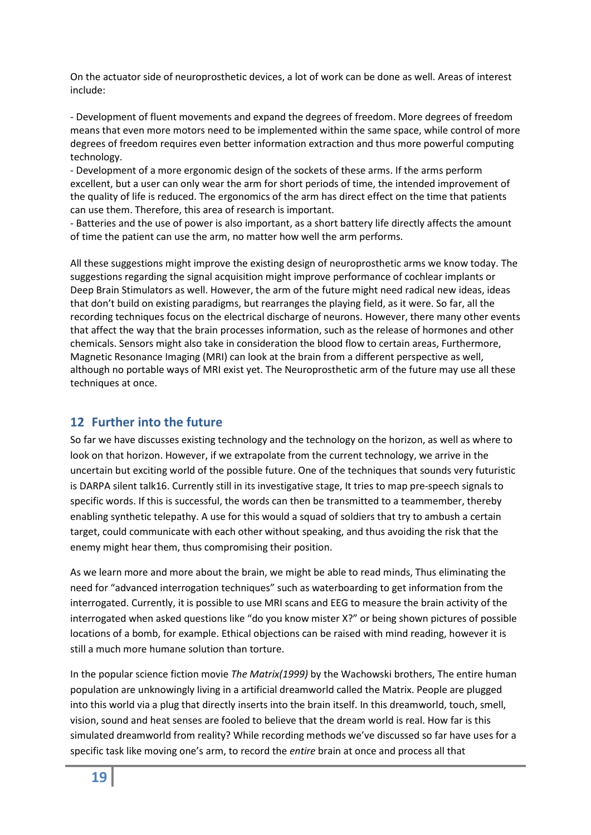On the actuator side of neuroprosthetic devices, a lot of work can be done as well. Areas of interest include:

- Development of fluent movements and expand the degrees of freedom. More degrees of freedom means that even more motors need to be implemented within the same space, while control of more degrees of freedom requires even better information extraction and thus more powerful computing technology.

- Development of a more ergonomic design of the sockets of these arms. If the arms perform excellent, but a user can only wear the arm for short periods of time, the intended improvement of the quality of life is reduced. The ergonomics of the arm has direct effect on the time that patients can use them. Therefore, this area of research is important.

- Batteries and the use of power is also important, as a short battery life directly affects the amount of time the patient can use the arm, no matter how well the arm performs.

All these suggestions might improve the existing design of neuroprosthetic arms we know today. The suggestions regarding the signal acquisition might improve performance of cochlear implants or Deep Brain Stimulators as well. However, the arm of the future might need radical new ideas, ideas that don't build on existing paradigms, but rearranges the playing field, as it were. So far, all the recording techniques focus on the electrical discharge of neurons. However, there many other events that affect the way that the brain processes information, such as the release of hormones and other chemicals. Sensors might also take in consideration the blood flow to certain areas, Furthermore, Magnetic Resonance Imaging (MRI) can look at the brain from a different perspective as well, although no portable ways of MRI exist yet. The Neuroprosthetic arm of the future may use all these techniques at once.

## <span id="page-18-0"></span>**12 Further into the future**

So far we have discusses existing technology and the technology on the horizon, as well as where to look on that horizon. However, if we extrapolate from the current technology, we arrive in the uncertain but exciting world of the possible future. One of the techniques that sounds very futuristic is DARPA silent tal[k16.](#page-21-1) Currently still in its investigative stage, It tries to map pre-speech signals to specific words. If this is successful, the words can then be transmitted to a teammember, thereby enabling synthetic telepathy. A use for this would a squad of soldiers that try to ambush a certain target, could communicate with each other without speaking, and thus avoiding the risk that the enemy might hear them, thus compromising their position.

As we learn more and more about the brain, we might be able to read minds, Thus eliminating the need for "advanced interrogation techniques" such as waterboarding to get information from the interrogated. Currently, it is possible to use MRI scans and EEG to measure the brain activity of the interrogated when asked questions like "do you know mister X?" or being shown pictures of possible locations of a bomb, for example. Ethical objections can be raised with mind reading, however it is still a much more humane solution than torture.

In the popular science fiction movie *The Matrix(1999)* by the Wachowski brothers, The entire human population are unknowingly living in a artificial dreamworld called the Matrix. People are plugged into this world via a plug that directly inserts into the brain itself. In this dreamworld, touch, smell, vision, sound and heat senses are fooled to believe that the dream world is real. How far is this simulated dreamworld from reality? While recording methods we've discussed so far have uses for a specific task like moving one's arm, to record the *entire* brain at once and process all that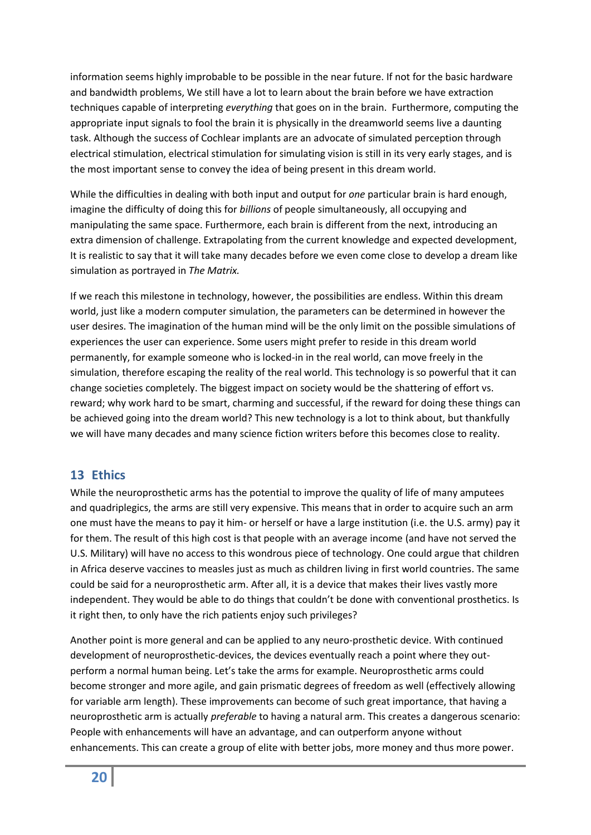information seems highly improbable to be possible in the near future. If not for the basic hardware and bandwidth problems, We still have a lot to learn about the brain before we have extraction techniques capable of interpreting *everything* that goes on in the brain. Furthermore, computing the appropriate input signals to fool the brain it is physically in the dreamworld seems live a daunting task. Although the success of Cochlear implants are an advocate of simulated perception through electrical stimulation, electrical stimulation for simulating vision is still in its very early stages, and is the most important sense to convey the idea of being present in this dream world.

While the difficulties in dealing with both input and output for *one* particular brain is hard enough, imagine the difficulty of doing this for *billions* of people simultaneously, all occupying and manipulating the same space. Furthermore, each brain is different from the next, introducing an extra dimension of challenge. Extrapolating from the current knowledge and expected development, It is realistic to say that it will take many decades before we even come close to develop a dream like simulation as portrayed in *The Matrix.*

If we reach this milestone in technology, however, the possibilities are endless. Within this dream world, just like a modern computer simulation, the parameters can be determined in however the user desires. The imagination of the human mind will be the only limit on the possible simulations of experiences the user can experience. Some users might prefer to reside in this dream world permanently, for example someone who is locked-in in the real world, can move freely in the simulation, therefore escaping the reality of the real world. This technology is so powerful that it can change societies completely. The biggest impact on society would be the shattering of effort vs. reward; why work hard to be smart, charming and successful, if the reward for doing these things can be achieved going into the dream world? This new technology is a lot to think about, but thankfully we will have many decades and many science fiction writers before this becomes close to reality.

#### <span id="page-19-0"></span>**13 Ethics**

While the neuroprosthetic arms has the potential to improve the quality of life of many amputees and quadriplegics, the arms are still very expensive. This means that in order to acquire such an arm one must have the means to pay it him- or herself or have a large institution (i.e. the U.S. army) pay it for them. The result of this high cost is that people with an average income (and have not served the U.S. Military) will have no access to this wondrous piece of technology. One could argue that children in Africa deserve vaccines to measles just as much as children living in first world countries. The same could be said for a neuroprosthetic arm. After all, it is a device that makes their lives vastly more independent. They would be able to do things that couldn't be done with conventional prosthetics. Is it right then, to only have the rich patients enjoy such privileges?

Another point is more general and can be applied to any neuro-prosthetic device. With continued development of neuroprosthetic-devices, the devices eventually reach a point where they outperform a normal human being. Let's take the arms for example. Neuroprosthetic arms could become stronger and more agile, and gain prismatic degrees of freedom as well (effectively allowing for variable arm length). These improvements can become of such great importance, that having a neuroprosthetic arm is actually *preferable* to having a natural arm. This creates a dangerous scenario: People with enhancements will have an advantage, and can outperform anyone without enhancements. This can create a group of elite with better jobs, more money and thus more power.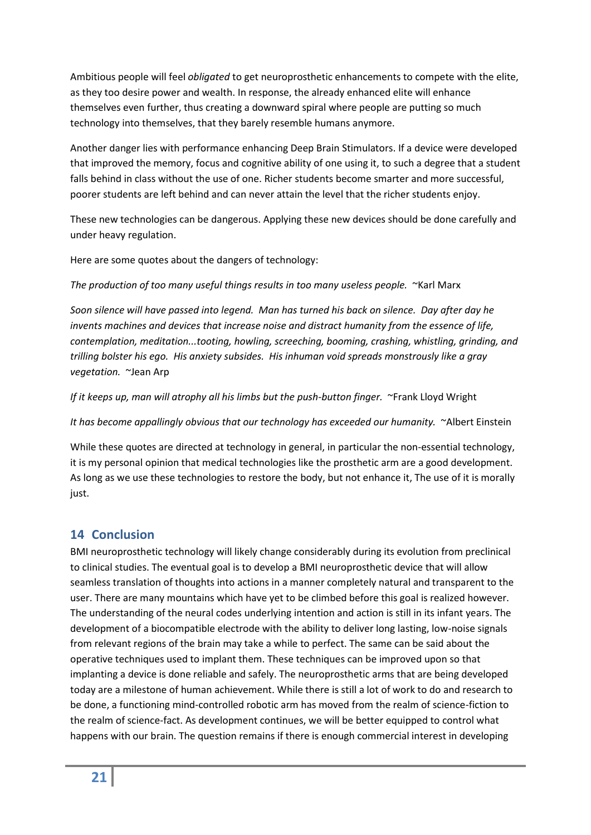Ambitious people will feel *obligated* to get neuroprosthetic enhancements to compete with the elite, as they too desire power and wealth. In response, the already enhanced elite will enhance themselves even further, thus creating a downward spiral where people are putting so much technology into themselves, that they barely resemble humans anymore.

Another danger lies with performance enhancing Deep Brain Stimulators. If a device were developed that improved the memory, focus and cognitive ability of one using it, to such a degree that a student falls behind in class without the use of one. Richer students become smarter and more successful, poorer students are left behind and can never attain the level that the richer students enjoy.

These new technologies can be dangerous. Applying these new devices should be done carefully and under heavy regulation.

Here are some quotes about the dangers of technology:

*The production of too many useful things results in too many useless people.* ~Karl Marx

*Soon silence will have passed into legend. Man has turned his back on silence. Day after day he invents machines and devices that increase noise and distract humanity from the essence of life, contemplation, meditation...tooting, howling, screeching, booming, crashing, whistling, grinding, and trilling bolster his ego. His anxiety subsides. His inhuman void spreads monstrously like a gray vegetation.* ~Jean Arp

*If it keeps up, man will atrophy all his limbs but the push-button finger.* ~Frank Lloyd Wright

*It has become appallingly obvious that our technology has exceeded our humanity.* ~Albert Einstein

While these quotes are directed at technology in general, in particular the non-essential technology, it is my personal opinion that medical technologies like the prosthetic arm are a good development. As long as we use these technologies to restore the body, but not enhance it, The use of it is morally just.

## <span id="page-20-0"></span>**14 Conclusion**

BMI neuroprosthetic technology will likely change considerably during its evolution from preclinical to clinical studies. The eventual goal is to develop a BMI neuroprosthetic device that will allow seamless translation of thoughts into actions in a manner completely natural and transparent to the user. There are many mountains which have yet to be climbed before this goal is realized however. The understanding of the neural codes underlying intention and action is still in its infant years. The development of a biocompatible electrode with the ability to deliver long lasting, low-noise signals from relevant regions of the brain may take a while to perfect. The same can be said about the operative techniques used to implant them. These techniques can be improved upon so that implanting a device is done reliable and safely. The neuroprosthetic arms that are being developed today are a milestone of human achievement. While there is still a lot of work to do and research to be done, a functioning mind-controlled robotic arm has moved from the realm of science-fiction to the realm of science-fact. As development continues, we will be better equipped to control what happens with our brain. The question remains if there is enough commercial interest in developing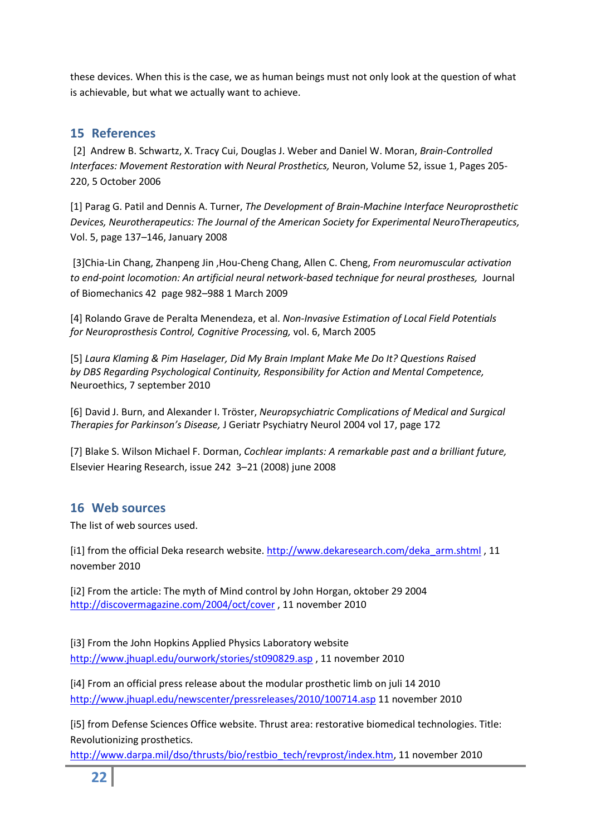these devices. When this is the case, we as human beings must not only look at the question of what is achievable, but what we actually want to achieve.

## <span id="page-21-0"></span>**15 References**

[2] Andrew B. Schwartz, X. Tracy Cui, Douglas J. Weber and Daniel W. Moran, *Brain-Controlled Interfaces: Movement Restoration with Neural Prosthetics,* Neuron, Volume 52, issue 1, Pages 205- 220, 5 October 2006

[1] Parag G. Patil and Dennis A. Turner, *The Development of Brain-Machine Interface Neuroprosthetic Devices, Neurotherapeutics: The Journal of the American Society for Experimental NeuroTherapeutics,*  Vol. 5, page 137–146, January 2008

[3]Chia-Lin Chang, Zhanpeng Jin ,Hou-Cheng Chang, Allen C. Cheng, *From neuromuscular activation to end-point locomotion: An artificial neural network-based technique for neural prostheses,* Journal of Biomechanics 42 page 982–988 1 March 2009

[4] Rolando Grave de Peralta Menendeza, et al. *Non-Invasive Estimation of Local Field Potentials for Neuroprosthesis Control, Cognitive Processing,* vol. 6, March 2005

[5] *Laura Klaming & Pim Haselager, Did My Brain Implant Make Me Do It? Questions Raised by DBS Regarding Psychological Continuity, Responsibility for Action and Mental Competence,* Neuroethics, 7 september 2010

[6] David J. Burn, and Alexander I. Tröster, *Neuropsychiatric Complications of Medical and Surgical Therapies for Parkinson's Disease,* J Geriatr Psychiatry Neurol 2004 vol 17, page 172

[7] Blake S. Wilson Michael F. Dorman, *Cochlear implants: A remarkable past and a brilliant future,* Elsevier Hearing Research, issue 242 3–21 (2008) june 2008

## <span id="page-21-1"></span>**16 Web sources**

The list of web sources used.

[i1] from the official Deka research website. [http://www.dekaresearch.com/deka\\_arm.shtml](http://www.dekaresearch.com/deka_arm.shtml) , 11 november 2010

[i2] From the article: The myth of Mind control by John Horgan, oktober 29 2004 <http://discovermagazine.com/2004/oct/cover> , 11 november 2010

[i3] From the John Hopkins Applied Physics Laboratory website <http://www.jhuapl.edu/ourwork/stories/st090829.asp> , 11 november 2010

[i4] From an official press release about the modular prosthetic limb on juli 14 2010 <http://www.jhuapl.edu/newscenter/pressreleases/2010/100714.asp> 11 november 2010

[i5] from Defense Sciences Office website. Thrust area: restorative biomedical technologies. Title: Revolutionizing prosthetics.

[http://www.darpa.mil/dso/thrusts/bio/restbio\\_tech/revprost/index.htm,](http://www.darpa.mil/dso/thrusts/bio/restbio_tech/revprost/index.htm) 11 november 2010